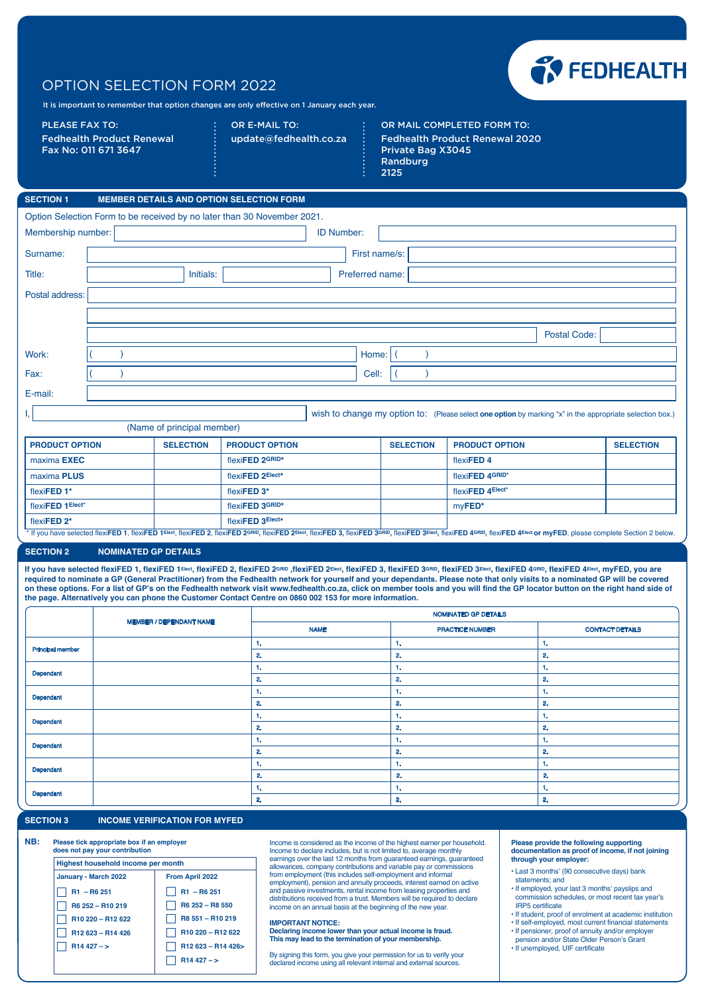## OPTION SELECTION FORM 2022



It is important to remember that option changes are only effective on 1 January each year.

PLEASE FAX TO: Fedhealth Product Renewal Fax No: 011 671 3647

OR E-MAIL TO: update@fedhealth.co.za OR MAIL COMPLETED FORM TO: Fedhealth Product Renewal 2020 Private Bag X3045 Randburg 2125

flexi**FED 4Elect\***

my**FED\***

| <b>SECTION 1</b>                                                                                         |  |                  | <b>MEMBER DETAILS AND OPTION SELECTION FORM</b> |                   |                  |                       |                     |                  |
|----------------------------------------------------------------------------------------------------------|--|------------------|-------------------------------------------------|-------------------|------------------|-----------------------|---------------------|------------------|
| Option Selection Form to be received by no later than 30 November 2021.                                  |  |                  |                                                 |                   |                  |                       |                     |                  |
| Membership number:                                                                                       |  |                  |                                                 | <b>ID Number:</b> |                  |                       |                     |                  |
| Surname:                                                                                                 |  |                  |                                                 | First name/s:     |                  |                       |                     |                  |
| Title:                                                                                                   |  | Initials:        |                                                 | Preferred name:   |                  |                       |                     |                  |
| Postal address:                                                                                          |  |                  |                                                 |                   |                  |                       |                     |                  |
|                                                                                                          |  |                  |                                                 |                   |                  |                       |                     |                  |
|                                                                                                          |  |                  |                                                 |                   |                  |                       | <b>Postal Code:</b> |                  |
| Work:                                                                                                    |  |                  |                                                 | Home:             |                  |                       |                     |                  |
| Fax:                                                                                                     |  |                  |                                                 | Cell:             |                  |                       |                     |                  |
| E-mail:                                                                                                  |  |                  |                                                 |                   |                  |                       |                     |                  |
| wish to change my option to: (Please select one option by marking "x" in the appropriate selection box.) |  |                  |                                                 |                   |                  |                       |                     |                  |
| (Name of principal member)                                                                               |  |                  |                                                 |                   |                  |                       |                     |                  |
| <b>PRODUCT OPTION</b>                                                                                    |  | <b>SELECTION</b> | <b>PRODUCT OPTION</b>                           |                   | <b>SELECTION</b> | <b>PRODUCT OPTION</b> |                     | <b>SELECTION</b> |
| maxima <b>EXEC</b>                                                                                       |  |                  | flexiFED 2GRID*                                 |                   |                  | flexiFED 4            |                     |                  |
| maxima PLUS                                                                                              |  |                  | flexiFED 2Elect*                                |                   |                  | flexiFED 4GRID*       |                     |                  |

flexi**FED 2\*** flexi**FED 3Elect\*** If you have selected flexiFED 1, flexiFED 1 Elect, flexiFED 2, flexiFED 2 GRID, flexiFED 2Elect, flexiFED 3, flexiFED 3, flexiFED 3, flexiFED 3, flexiFED 3 FlexiFED 3 FlexiFED 3 Elect, flexiFED 3 FlexiFED 3 Elect, flexiFED

flexi**FED 3GRID\*** flexi**FED 3\***

## **SECTION 2 NOMINATED GP DETAILS**

flexi**FED 1\*** flexi**FED 1Elect\***

If you have selected flexiFED 1, flexiFED 1<sup>Elect</sup>, flexiFED 2, flexiFED 2<sup>GRID</sup>, flexiFED 2<sup>GRID</sup>, flexiFED 3, flexiFED 3<sub>5</sub> flexiFED 3<sub>Elect</sub>, flexiFED 4GRID, flexiFED 4Elect, myFED, you are **required to nominate a GP (General Practitioner) from the Fedhealth network for yourself and your dependants. Please note that only visits to a nominated GP will be covered on these options. For a list of GP's on the Fedhealth network visit www.fedhealth.co.za, click on member tools and you will find the GP locator button on the right hand side of the page. Alternatively you can phone the Customer Contact Centre on 0860 002 153 for more information.**

|                         | <b>MEMBER / DEPENDANT NAME</b> | NOMINATED GP DETAILS |                        |                        |  |
|-------------------------|--------------------------------|----------------------|------------------------|------------------------|--|
|                         |                                | <b>NAME</b>          | <b>PRACTICE NUMBER</b> | <b>CONTACT DETAILS</b> |  |
| <b>Principal member</b> |                                | . .                  | $-1.$                  | 1.                     |  |
|                         |                                | 2.                   | $\mathbf{2}$           | 2.                     |  |
| Dependant               |                                | п.                   | 1.                     | 1.                     |  |
|                         |                                | 2.                   | $\mathbf{2}$           | 2.                     |  |
| Dependant               |                                | . .                  | 1.                     | 1.                     |  |
|                         |                                | $\mathbf{2}$         | 2.                     | 2.                     |  |
| Dependant               |                                | п.                   | -1.                    | 1.                     |  |
|                         |                                | 2.                   | $\mathbf{2}$           | 2.                     |  |
| Dependant               |                                | .                    | -1.                    | 1.                     |  |
|                         |                                | 2.                   | 2.                     | 2.                     |  |
| Dependant               |                                | .                    | -1.                    | 1.                     |  |
|                         |                                | 2.                   | 2.                     | 2.                     |  |
| Dependant               |                                | . .                  | 1.                     | 1.                     |  |
|                         |                                | 2.                   | 2.                     | 2.                     |  |

## **SECTION 3 INCOME VERIFICATION FOR MYFED**

| NB: | Please tick appropriate box if an employer<br>does not pay your contribution |                                           |  |  |  |  |
|-----|------------------------------------------------------------------------------|-------------------------------------------|--|--|--|--|
|     | Highest household income per month                                           |                                           |  |  |  |  |
|     | January - March 2022                                                         | From April 2022                           |  |  |  |  |
|     | $R1 - R6251$                                                                 | $R1 - R6251$                              |  |  |  |  |
|     | R6 252 - R10 219                                                             | R6 252 - R8 550                           |  |  |  |  |
|     | R10 220 - R12 622                                                            | R8 551 - R10 219                          |  |  |  |  |
|     | R12 623 - R14 426                                                            | R <sub>10</sub> 220 - R <sub>12</sub> 622 |  |  |  |  |
|     | $R14427 - >$                                                                 | R12 623 - R14 426>                        |  |  |  |  |
|     |                                                                              | $R14427 - >$                              |  |  |  |  |
|     |                                                                              |                                           |  |  |  |  |

Income is considered as the income of the highest earner per household. Income to declare includes, but is not limited to, average monthly earnings over the last 12 months from guaranteed earnings, guaranteed allowances, company contributions and variable pay or commissions from employment (this includes self-employment and informal employment), pension and annuity proceeds, interest earned on active and passive investments, rental income from leasing properties and distributions received from a trust. Members will be required to declare income on an annual basis at the beginning of the new year.

## **IMPORTANT NOTICE:**

**Declaring income lower than your actual income is fraud. This may lead to the termination of your membership.**

By signing this form, you give your permission for us to verify your declared income using all relevant internal and external sourc

**Please provide the following supporting documentation as proof of income, if not joining through your employer:**

- Last 3 months' (90 consecutive days) bank statements; and
- If employed, your last 3 months' payslips and commission schedules, or most recent tax year's IRP5 certificate
- If student, proof of enrolment at academic institution
- If self-employed, most current financial statements • If pensioner, proof of annuity and/or employer
- pension and/or State Older Person's Grant • If unemployed, UIF certificate